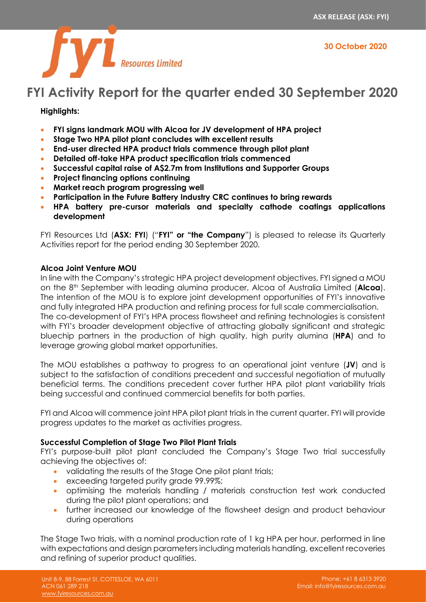



# **FYI Activity Report for the quarter ended 30 September 2020**

## **Highlights:**

- **FYI signs landmark MOU with Alcoa for JV development of HPA project**
- **Stage Two HPA pilot plant concludes with excellent results**
- **End-user directed HPA product trials commence through pilot plant**
- **Detailed off-take HPA product specification trials commenced**
- **Successful capital raise of A\$2.7m from Institutions and Supporter Groups**
- **Project financing options continuing**
- **Market reach program progressing well**
- **Participation in the Future Battery Industry CRC continues to bring rewards**
- **HPA battery pre-cursor materials and specialty cathode coatings applications development**

FYI Resources Ltd (**ASX: FYI**) ("**FYI" or "the Company**") is pleased to release its Quarterly Activities report for the period ending 30 September 2020.

## **Alcoa Joint Venture MOU**

In line with the Company's strategic HPA project development objectives, FYI signed a MOU on the 8th September with leading alumina producer, Alcoa of Australia Limited (**Alcoa**). The intention of the MOU is to explore joint development opportunities of FYI's innovative and fully integrated HPA production and refining process for full scale commercialisation. The co-development of FYI's HPA process flowsheet and refining technologies is consistent with FYI's broader development objective of attracting globally significant and strategic bluechip partners in the production of high quality, high purity alumina (**HPA**) and to leverage growing global market opportunities.

The MOU establishes a pathway to progress to an operational joint venture (**JV**) and is subject to the satisfaction of conditions precedent and successful negotiation of mutually beneficial terms. The conditions precedent cover further HPA pilot plant variability trials being successful and continued commercial benefits for both parties.

FYI and Alcoa will commence joint HPA pilot plant trials in the current quarter. FYI will provide progress updates to the market as activities progress.

## **Successful Completion of Stage Two Pilot Plant Trials**

FYI's purpose-built pilot plant concluded the Company's Stage Two trial successfully achieving the objectives of:

- validating the results of the Stage One pilot plant trials;
- exceeding targeted purity grade 99.99%;
- optimising the materials handling / materials construction test work conducted during the pilot plant operations; and
- further increased our knowledge of the flowsheet design and product behaviour during operations

The Stage Two trials, with a nominal production rate of 1 kg HPA per hour, performed in line with expectations and design parameters including materials handling, excellent recoveries and refining of superior product qualities.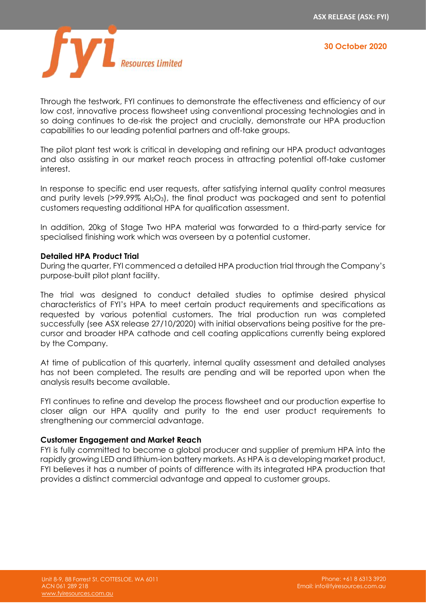

Through the testwork, FYI continues to demonstrate the effectiveness and efficiency of our low cost, innovative process flowsheet using conventional processing technologies and in so doing continues to de-risk the project and crucially, demonstrate our HPA production capabilities to our leading potential partners and off-take groups.

The pilot plant test work is critical in developing and refining our HPA product advantages and also assisting in our market reach process in attracting potential off-take customer interest.

In response to specific end user requests, after satisfying internal quality control measures and purity levels (>99.99% Al<sub>2</sub>O<sub>3</sub>), the final product was packaged and sent to potential customers requesting additional HPA for qualification assessment.

In addition, 20kg of Stage Two HPA material was forwarded to a third-party service for specialised finishing work which was overseen by a potential customer.

### **Detailed HPA Product Trial**

During the quarter, FYI commenced a detailed HPA production trial through the Company's purpose-built pilot plant facility.

The trial was designed to conduct detailed studies to optimise desired physical characteristics of FYI's HPA to meet certain product requirements and specifications as requested by various potential customers. The trial production run was completed successfully (see ASX release 27/10/2020) with initial observations being positive for the precursor and broader HPA cathode and cell coating applications currently being explored by the Company.

At time of publication of this quarterly, internal quality assessment and detailed analyses has not been completed. The results are pending and will be reported upon when the analysis results become available.

FYI continues to refine and develop the process flowsheet and our production expertise to closer align our HPA quality and purity to the end user product requirements to strengthening our commercial advantage.

#### **Customer Engagement and Market Reach**

FYI is fully committed to become a global producer and supplier of premium HPA into the rapidly growing LED and lithium-ion battery markets. As HPA is a developing market product, FYI believes it has a number of points of difference with its integrated HPA production that provides a distinct commercial advantage and appeal to customer groups.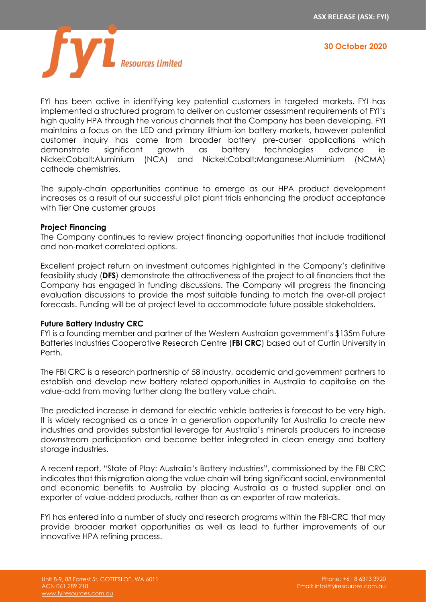

FYI has been active in identifying key potential customers in targeted markets. FYI has implemented a structured program to deliver on customer assessment requirements of FYI's high quality HPA through the various channels that the Company has been developing. FYI maintains a focus on the LED and primary lithium-ion battery markets, however potential customer inquiry has come from broader battery pre-curser applications which demonstrate significant growth as battery technologies advance ie Nickel:Cobalt:Aluminium (NCA) and Nickel:Cobalt:Manganese:Aluminium (NCMA) cathode chemistries.

The supply-chain opportunities continue to emerge as our HPA product development increases as a result of our successful pilot plant trials enhancing the product acceptance with Tier One customer groups

### **Project Financing**

The Company continues to review project financing opportunities that include traditional and non-market correlated options.

Excellent project return on investment outcomes highlighted in the Company's definitive feasibility study (**DFS**) demonstrate the attractiveness of the project to all financiers that the Company has engaged in funding discussions. The Company will progress the financing evaluation discussions to provide the most suitable funding to match the over-all project forecasts. Funding will be at project level to accommodate future possible stakeholders.

## **Future Battery Industry CRC**

FYI is a founding member and partner of the [Western Australian government's \\$135m Future](https://stockhead.com.au/resources/industry-interest-in-new-battery-metals-research-centre-is-gathering-steam/)  [Batteries Industries Cooperative Research Centre \(](https://stockhead.com.au/resources/industry-interest-in-new-battery-metals-research-centre-is-gathering-steam/)**FBI CRC**) based out of Curtin University in Perth.

The FBI CRC is a research partnership of 58 industry, academic and government partners to establish and develop new battery related opportunities in Australia to capitalise on the value-add from moving further along the battery value chain.

The predicted increase in demand for electric vehicle batteries is forecast to be very high. It is widely recognised as a once in a generation opportunity for Australia to create new industries and provides substantial leverage for Australia's minerals producers to increase downstream participation and become better integrated in clean energy and battery storage industries.

A recent report, "State of Play: Australia's Battery Industries", commissioned by the FBI CRC indicates that this migration along the value chain will bring significant social, environmental and economic benefits to Australia by placing Australia as a trusted supplier and an exporter of value-added products, rather than as an exporter of raw materials.

FYI has entered into a number of study and research programs within the FBI-CRC that may provide broader market opportunities as well as lead to further improvements of our innovative HPA refining process.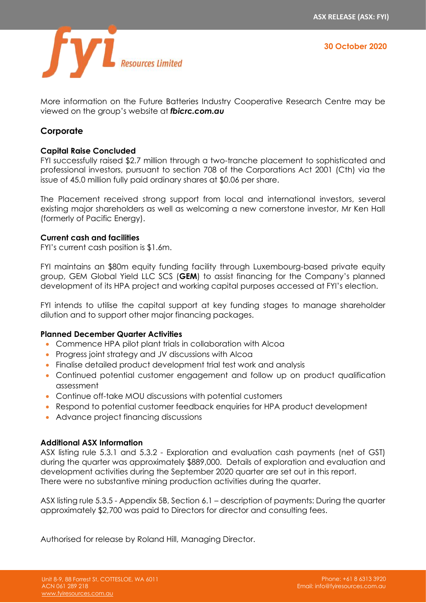

More information on the Future Batteries Industry Cooperative Research Centre may be viewed on the group's website at *fbicrc.com.au*

## **Corporate**

## **Capital Raise Concluded**

FYI successfully raised \$2.7 million through a two-tranche placement to sophisticated and professional investors, pursuant to section 708 of the Corporations Act 2001 (Cth) via the issue of 45.0 million fully paid ordinary shares at \$0.06 per share.

The Placement received strong support from local and international investors, several existing major shareholders as well as welcoming a new cornerstone investor, Mr Ken Hall (formerly of Pacific Energy).

## **Current cash and facilities**

FYI's current cash position is \$1.6m.

FYI maintains an \$80m equity funding facility through Luxembourg-based private equity group, GEM Global Yield LLC SCS (**GEM**) to assist financing for the Company's planned development of its HPA project and working capital purposes accessed at FYI's election.

FYI intends to utilise the capital support at key funding stages to manage shareholder dilution and to support other major financing packages.

## **Planned December Quarter Activities**

- Commence HPA pilot plant trials in collaboration with Alcoa
- Progress joint strategy and JV discussions with Alcoa
- Finalise detailed product development trial test work and analysis
- Continued potential customer engagement and follow up on product qualification assessment
- Continue off-take MOU discussions with potential customers
- Respond to potential customer feedback enquiries for HPA product development
- Advance project financing discussions

## **Additional ASX Information**

ASX listing rule 5.3.1 and 5.3.2 - Exploration and evaluation cash payments (net of GST) during the quarter was approximately \$889,000. Details of exploration and evaluation and development activities during the September 2020 quarter are set out in this report. There were no substantive mining production activities during the quarter.

ASX listing rule 5.3.5 - Appendix 5B, Section 6.1 – description of payments: During the quarter approximately \$2,700 was paid to Directors for director and consulting fees.

Authorised for release by Roland Hill, Managing Director.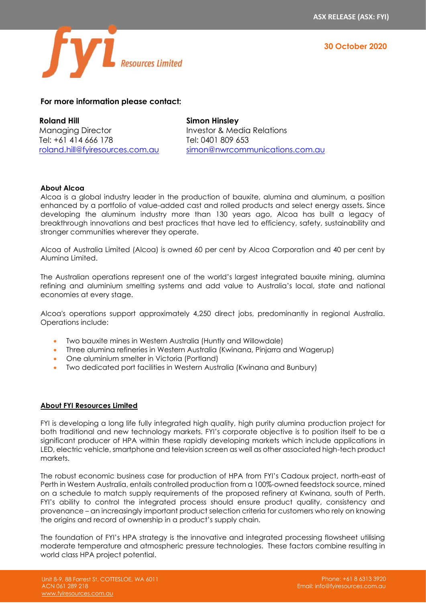



## **For more information please contact:**

**Roland Hill** Managing Director Tel: +61 414 666 178 [roland.hill@fyiresources.com.au](mailto:roland.hill@fyiresources.com.au) **Simon Hinsley** Investor & Media Relations Tel: 0401 809 653 [simon@nwrcommunications.com.au](mailto:simon@nwrcommunications.com.au)

#### **About Alcoa**

Alcoa is a global industry leader in the production of bauxite, alumina and aluminum, a position enhanced by a portfolio of value-added cast and rolled products and select energy assets. Since developing the aluminum industry more than 130 years ago, Alcoa has built a legacy of breakthrough innovations and best practices that have led to efficiency, safety, sustainability and stronger communities wherever they operate.

Alcoa of Australia Limited (Alcoa) is owned 60 per cent by Alcoa Corporation and 40 per cent by Alumina Limited.

The Australian operations represent one of the world's largest integrated bauxite mining, alumina refining and aluminium smelting systems and add value to Australia's local, state and national economies at every stage.

Alcoa's operations support approximately 4,250 direct jobs, predominantly in regional Australia. Operations include:

- Two bauxite mines in Western Australia (Huntly and Willowdale)
- Three alumina refineries in Western Australia (Kwinana, Pinjarra and Wagerup)
- One aluminium smelter in Victoria (Portland)
- Two dedicated port facilities in Western Australia (Kwinana and Bunbury)

#### **About FYI Resources Limited**

FYI is developing a long life fully integrated high quality, high purity alumina production project for both traditional and new technology markets. FYI's corporate objective is to position itself to be a significant producer of HPA within these rapidly developing markets which include applications in LED, electric vehicle, smartphone and television screen as well as other associated high-tech product markets.

The robust economic business case for production of HPA from FYI's Cadoux project, north-east of Perth in Western Australia, entails controlled production from a 100%-owned feedstock source, mined on a schedule to match supply requirements of the proposed refinery at Kwinana, south of Perth. FYI's ability to control the integrated process should ensure product quality, consistency and provenance – an increasingly important product selection criteria for customers who rely on knowing the origins and record of ownership in a product's supply chain.

The foundation of FYI's HPA strategy is the innovative and integrated processing flowsheet utilising moderate temperature and atmospheric pressure technologies. These factors combine resulting in world class HPA project potential.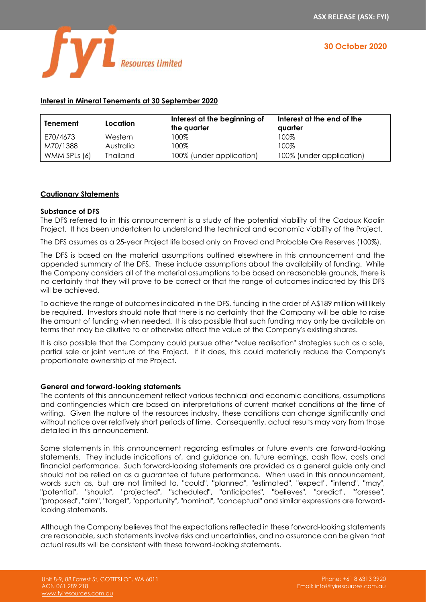

| Tenement     | Location        | Interest at the beginning of<br>the quarter | Interest at the end of the<br>avarter |
|--------------|-----------------|---------------------------------------------|---------------------------------------|
| E70/4673     | Western         | 100%                                        | 100%                                  |
| M70/1388     | Australia       | 100%                                        | 100%                                  |
| WMM SPLs (6) | <b>Thailand</b> | 100% (under application)                    | 100% (under application)              |

## **Interest in Mineral Tenements at 30 September 2020**

#### **Cautionary Statements**

#### **Substance of DFS**

The DFS referred to in this announcement is a study of the potential viability of the Cadoux Kaolin Project. It has been undertaken to understand the technical and economic viability of the Project.

The DFS assumes as a 25-year Project life based only on Proved and Probable Ore Reserves (100%).

The DFS is based on the material assumptions outlined elsewhere in this announcement and the appended summary of the DFS. These include assumptions about the availability of funding. While the Company considers all of the material assumptions to be based on reasonable grounds, there is no certainty that they will prove to be correct or that the range of outcomes indicated by this DFS will be achieved.

To achieve the range of outcomes indicated in the DFS, funding in the order of A\$189 million will likely be required. Investors should note that there is no certainty that the Company will be able to raise the amount of funding when needed. It is also possible that such funding may only be available on terms that may be dilutive to or otherwise affect the value of the Company's existing shares.

It is also possible that the Company could pursue other "value realisation" strategies such as a sale, partial sale or joint venture of the Project. If it does, this could materially reduce the Company's proportionate ownership of the Project.

#### **General and forward-looking statements**

The contents of this announcement reflect various technical and economic conditions, assumptions and contingencies which are based on interpretations of current market conditions at the time of writing. Given the nature of the resources industry, these conditions can change significantly and without notice over relatively short periods of time. Consequently, actual results may vary from those detailed in this announcement.

Some statements in this announcement regarding estimates or future events are forward-looking statements. They include indications of, and guidance on, future earnings, cash flow, costs and financial performance. Such forward-looking statements are provided as a general guide only and should not be relied on as a guarantee of future performance. When used in this announcement, words such as, but are not limited to, "could", "planned", "estimated", "expect", "intend", "may", "potential", "should", "projected", "scheduled", "anticipates", "believes", "predict", "foresee", "proposed", "aim", "target", "opportunity", "nominal", "conceptual" and similar expressions are forwardlooking statements.

Although the Company believes that the expectations reflected in these forward-looking statements are reasonable, such statements involve risks and uncertainties, and no assurance can be given that actual results will be consistent with these forward-looking statements.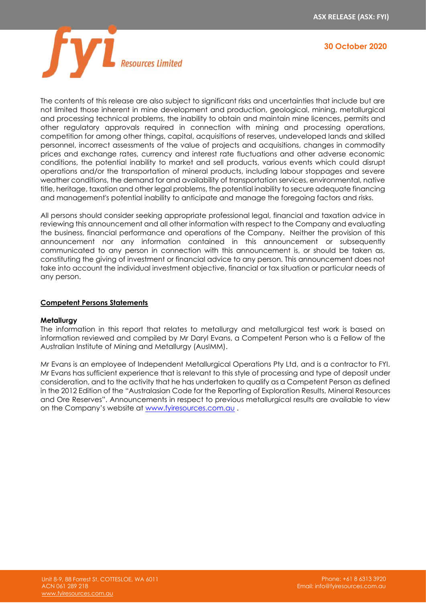

The contents of this release are also subject to significant risks and uncertainties that include but are not limited those inherent in mine development and production, geological, mining, metallurgical and processing technical problems, the inability to obtain and maintain mine licences, permits and other regulatory approvals required in connection with mining and processing operations, competition for among other things, capital, acquisitions of reserves, undeveloped lands and skilled personnel, incorrect assessments of the value of projects and acquisitions, changes in commodity prices and exchange rates, currency and interest rate fluctuations and other adverse economic conditions, the potential inability to market and sell products, various events which could disrupt operations and/or the transportation of mineral products, including labour stoppages and severe weather conditions, the demand for and availability of transportation services, environmental, native title, heritage, taxation and other legal problems, the potential inability to secure adequate financing and management's potential inability to anticipate and manage the foregoing factors and risks.

All persons should consider seeking appropriate professional legal, financial and taxation advice in reviewing this announcement and all other information with respect to the Company and evaluating the business, financial performance and operations of the Company. Neither the provision of this announcement nor any information contained in this announcement or subsequently communicated to any person in connection with this announcement is, or should be taken as, constituting the giving of investment or financial advice to any person. This announcement does not take into account the individual investment objective, financial or tax situation or particular needs of any person.

#### **Competent Persons Statements**

#### **Metallurgy**

The information in this report that relates to metallurgy and metallurgical test work is based on information reviewed and compiled by Mr Daryl Evans, a Competent Person who is a Fellow of the Australian Institute of Mining and Metallurgy (AusIMM).

Mr Evans is an employee of Independent Metallurgical Operations Pty Ltd, and is a contractor to FYI. Mr Evans has sufficient experience that is relevant to this style of processing and type of deposit under consideration, and to the activity that he has undertaken to qualify as a Competent Person as defined in the 2012 Edition of the "Australasian Code for the Reporting of Exploration Results, Mineral Resources and Ore Reserves". Announcements in respect to previous metallurgical results are available to view on the Company's website at [www.fyiresources.com.au](http://www.fyiresources.com.au/) .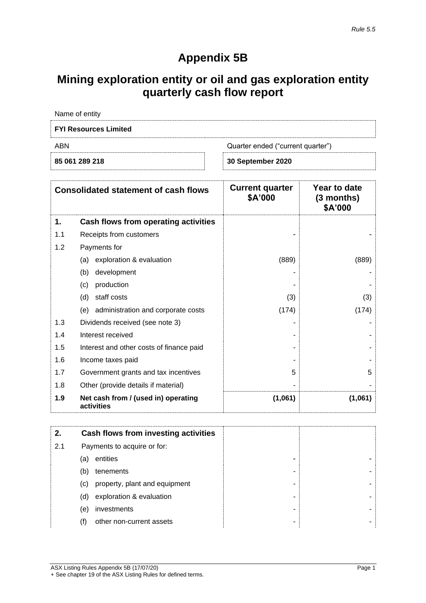## **Appendix 5B**

## **Mining exploration entity or oil and gas exploration entity quarterly cash flow report**

| 85 061 289 218               | 30 September 2020                 |
|------------------------------|-----------------------------------|
| ABN                          | Quarter ended ("current quarter") |
| <b>FYI Resources Limited</b> |                                   |
| Name of entity               |                                   |

| <b>Consolidated statement of cash flows</b> |                                                   | <b>Current quarter</b><br>\$A'000 | Year to date<br>(3 months)<br>\$A'000 |
|---------------------------------------------|---------------------------------------------------|-----------------------------------|---------------------------------------|
| 1.                                          | Cash flows from operating activities              |                                   |                                       |
| 1.1                                         | Receipts from customers                           |                                   |                                       |
| 1.2                                         | Payments for                                      |                                   |                                       |
|                                             | exploration & evaluation<br>(a)                   | (889)                             | (889)                                 |
|                                             | development<br>(b)                                |                                   |                                       |
|                                             | production<br>(c)                                 |                                   |                                       |
|                                             | staff costs<br>(d)                                | (3)                               | (3)                                   |
|                                             | (e) administration and corporate costs            | (174)                             | (174)                                 |
| 1.3                                         | Dividends received (see note 3)                   |                                   |                                       |
| 1.4                                         | Interest received                                 |                                   |                                       |
| 1.5                                         | Interest and other costs of finance paid          |                                   |                                       |
| 1.6                                         | Income taxes paid                                 |                                   |                                       |
| 1.7                                         | Government grants and tax incentives              | 5                                 | 5                                     |
| 1.8                                         | Other (provide details if material)               |                                   |                                       |
| 1.9                                         | Net cash from / (used in) operating<br>activities | (1,061)                           | (1,061)                               |

| 2.  |     | Cash flows from investing activities |   |
|-----|-----|--------------------------------------|---|
| 2.1 |     | Payments to acquire or for:          |   |
|     | (a) | entities                             | - |
|     | (b) | tenements                            | ٠ |
|     | (C) | property, plant and equipment        | - |
|     | (d) | exploration & evaluation             | - |
|     | (e) | investments                          | - |
|     |     | other non-current assets             | ۰ |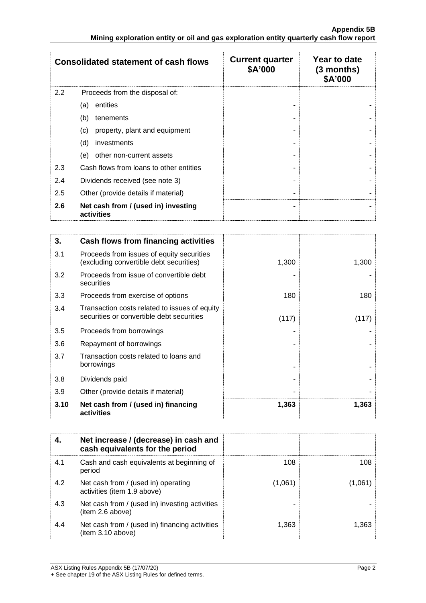|     | <b>Consolidated statement of cash flows</b>       | <b>Current quarter</b><br>\$A'000 | Year to date<br>$(3$ months)<br>\$A'000 |
|-----|---------------------------------------------------|-----------------------------------|-----------------------------------------|
| 2.2 | Proceeds from the disposal of:                    |                                   |                                         |
|     | entities<br>(a)                                   |                                   |                                         |
|     | (b)<br>tenements                                  |                                   |                                         |
|     | property, plant and equipment<br>(c)              |                                   |                                         |
|     | (d)<br>investments                                |                                   |                                         |
|     | other non-current assets<br>(e)                   |                                   |                                         |
| 2.3 | Cash flows from loans to other entities           |                                   |                                         |
| 2.4 | Dividends received (see note 3)                   |                                   |                                         |
| 2.5 | Other (provide details if material)               |                                   |                                         |
| 2.6 | Net cash from / (used in) investing<br>activities |                                   |                                         |

| 3.   | Cash flows from financing activities                                                       |       |       |
|------|--------------------------------------------------------------------------------------------|-------|-------|
| 3.1  | Proceeds from issues of equity securities<br>(excluding convertible debt securities)       | 1,300 | 1,300 |
| 3.2  | Proceeds from issue of convertible debt<br>securities                                      |       |       |
| 3.3  | Proceeds from exercise of options                                                          | 180   | 180   |
| 3.4  | Transaction costs related to issues of equity<br>securities or convertible debt securities | (117) | (117) |
| 3.5  | Proceeds from borrowings                                                                   |       |       |
| 3.6  | Repayment of borrowings                                                                    |       |       |
| 3.7  | Transaction costs related to loans and<br>borrowings                                       |       |       |
| 3.8  | Dividends paid                                                                             |       |       |
| 3.9  | Other (provide details if material)                                                        |       |       |
| 3.10 | Net cash from / (used in) financing<br>activities                                          | 1,363 | 1,363 |

|     | Net increase / (decrease) in cash and<br>cash equivalents for the period |         |       |
|-----|--------------------------------------------------------------------------|---------|-------|
| 4.1 | Cash and cash equivalents at beginning of<br>period                      | 108     | 108   |
| 4.2 | Net cash from / (used in) operating<br>activities (item 1.9 above)       | (1,061) | 1.061 |
| 4.3 | Net cash from / (used in) investing activities<br>(item 2.6 above)       |         |       |
| 4.4 | Net cash from / (used in) financing activities<br>(item 3.10 above)      | 1,363   | 1.363 |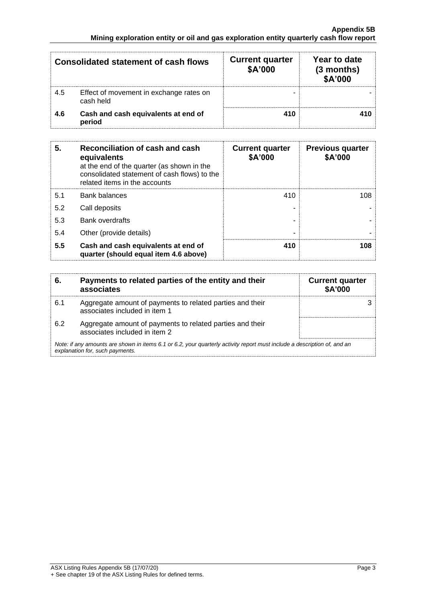|     | <b>Consolidated statement of cash flows</b>          | <b>Current quarter</b><br>\$A'000 | Year to date<br>$(3$ months)<br>\$A'000 |
|-----|------------------------------------------------------|-----------------------------------|-----------------------------------------|
| 4.5 | Effect of movement in exchange rates on<br>cash held |                                   |                                         |
| 4.6 | Cash and cash equivalents at end of<br>period        | 410                               |                                         |

| 5.  | Reconciliation of cash and cash<br>equivalents<br>at the end of the quarter (as shown in the<br>consolidated statement of cash flows) to the<br>related items in the accounts | <b>Current quarter</b><br>\$A'000 | <b>Previous quarter</b><br>\$A'000 |
|-----|-------------------------------------------------------------------------------------------------------------------------------------------------------------------------------|-----------------------------------|------------------------------------|
| 5.1 | <b>Bank balances</b>                                                                                                                                                          | 410                               | 108                                |
| 5.2 | Call deposits                                                                                                                                                                 |                                   |                                    |
| 5.3 | <b>Bank overdrafts</b>                                                                                                                                                        |                                   |                                    |
| 5.4 | Other (provide details)                                                                                                                                                       | -                                 |                                    |
| 5.5 | Cash and cash equivalents at end of<br>quarter (should equal item 4.6 above)                                                                                                  | 410                               | 108                                |

| 6.  | Payments to related parties of the entity and their<br>associates                                                                                           | <b>Current quarter</b><br><b>\$A'000</b> |  |
|-----|-------------------------------------------------------------------------------------------------------------------------------------------------------------|------------------------------------------|--|
| 6.1 | Aggregate amount of payments to related parties and their<br>associates included in item 1                                                                  |                                          |  |
| 6.2 | Aggregate amount of payments to related parties and their<br>associates included in item 2                                                                  |                                          |  |
|     | Note: if any amounts are shown in items 6.1 or 6.2, your quarterly activity report must include a description of, and an<br>explanation for, such payments. |                                          |  |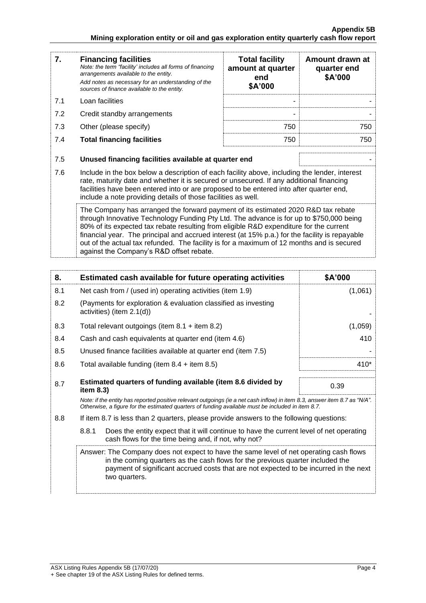| 7.  | <b>Financing facilities</b><br>Note: the term "facility' includes all forms of financing<br>arrangements available to the entity.<br>Add notes as necessary for an understanding of the<br>sources of finance available to the entity.                                                                                                                                                                                                                                                                            | <b>Total facility</b><br>amount at quarter<br>end<br>\$A'000 | Amount drawn at<br>quarter end<br>\$A'000 |  |
|-----|-------------------------------------------------------------------------------------------------------------------------------------------------------------------------------------------------------------------------------------------------------------------------------------------------------------------------------------------------------------------------------------------------------------------------------------------------------------------------------------------------------------------|--------------------------------------------------------------|-------------------------------------------|--|
| 7.1 | Loan facilities                                                                                                                                                                                                                                                                                                                                                                                                                                                                                                   |                                                              |                                           |  |
| 7.2 | Credit standby arrangements                                                                                                                                                                                                                                                                                                                                                                                                                                                                                       |                                                              |                                           |  |
| 7.3 | Other (please specify)                                                                                                                                                                                                                                                                                                                                                                                                                                                                                            | 750                                                          | 750                                       |  |
| 7.4 | <b>Total financing facilities</b>                                                                                                                                                                                                                                                                                                                                                                                                                                                                                 | 750                                                          | 750                                       |  |
| 7.5 | Unused financing facilities available at quarter end                                                                                                                                                                                                                                                                                                                                                                                                                                                              |                                                              |                                           |  |
| 7.6 | Include in the box below a description of each facility above, including the lender, interest<br>rate, maturity date and whether it is secured or unsecured. If any additional financing<br>facilities have been entered into or are proposed to be entered into after quarter end,<br>include a note providing details of those facilities as well.                                                                                                                                                              |                                                              |                                           |  |
|     | The Company has arranged the forward payment of its estimated 2020 R&D tax rebate<br>through Innovative Technology Funding Pty Ltd. The advance is for up to \$750,000 being<br>80% of its expected tax rebate resulting from eligible R&D expenditure for the current<br>financial year. The principal and accrued interest (at 15% p.a.) for the facility is repayable<br>out of the actual tax refunded. The facility is for a maximum of 12 months and is secured<br>against the Company's R&D offset rebate. |                                                              |                                           |  |

| 8.  | Estimated cash available for future operating activities                                                                                                                                                                                                                           | \$A'000 |
|-----|------------------------------------------------------------------------------------------------------------------------------------------------------------------------------------------------------------------------------------------------------------------------------------|---------|
| 8.1 | Net cash from / (used in) operating activities (item 1.9)                                                                                                                                                                                                                          | (1,061) |
| 8.2 | (Payments for exploration & evaluation classified as investing<br>activities) (item $2.1(d)$ )                                                                                                                                                                                     |         |
| 8.3 | Total relevant outgoings (item $8.1 +$ item $8.2$ )                                                                                                                                                                                                                                | (1,059) |
| 8.4 | Cash and cash equivalents at quarter end (item 4.6)                                                                                                                                                                                                                                | 410     |
| 8.5 | Unused finance facilities available at quarter end (item 7.5)                                                                                                                                                                                                                      |         |
| 8.6 | Total available funding (item $8.4 +$ item $8.5$ )                                                                                                                                                                                                                                 | 410*    |
| 8.7 | Estimated quarters of funding available (item 8.6 divided by<br>item $8.3$ )                                                                                                                                                                                                       | 0.39    |
|     | Note: if the entity has reported positive relevant outgoings (ie a net cash inflow) in item 8.3, answer item 8.7 as "N/A".<br>Otherwise, a figure for the estimated guarters of funding available must be included in item 8.7.                                                    |         |
| 8.8 | If item 8.7 is less than 2 quarters, please provide answers to the following questions:                                                                                                                                                                                            |         |
|     | Does the entity expect that it will continue to have the current level of net operating<br>8.8.1<br>cash flows for the time being and, if not, why not?                                                                                                                            |         |
|     | Answer: The Company does not expect to have the same level of net operating cash flows<br>in the coming quarters as the cash flows for the previous quarter included the<br>payment of significant accrued costs that are not expected to be incurred in the next<br>two quarters. |         |